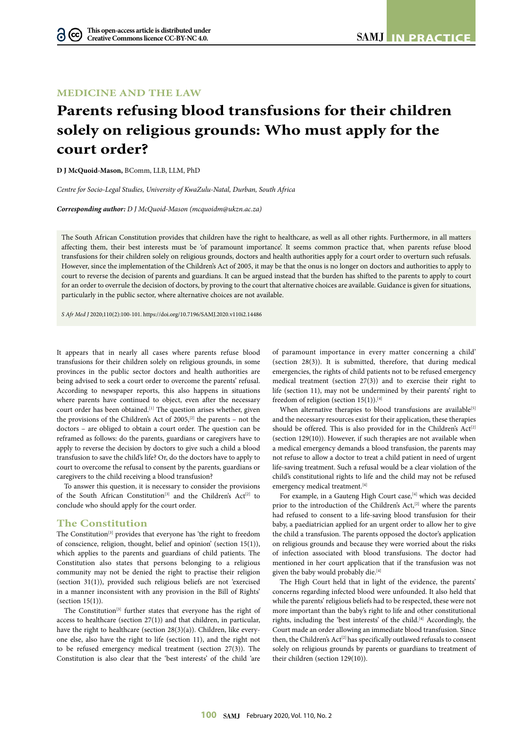## **MEDICINE AND THE LAW**

# **Parents refusing blood transfusions for their children solely on religious grounds: Who must apply for the court order?**

**D J McQuoid-Mason,** BComm, LLB, LLM, PhD

*Centre for Socio-Legal Studies, University of KwaZulu-Natal, Durban, South Africa*

*Corresponding author: D J McQuoid-Mason (mcquoidm@ukzn.ac.za)*

The South African Constitution provides that children have the right to healthcare, as well as all other rights. Furthermore, in all matters affecting them, their best interests must be 'of paramount importance'. It seems common practice that, when parents refuse blood transfusions for their children solely on religious grounds, doctors and health authorities apply for a court order to overturn such refusals. However, since the implementation of the Children's Act of 2005, it may be that the onus is no longer on doctors and authorities to apply to court to reverse the decision of parents and guardians. It can be argued instead that the burden has shifted to the parents to apply to court for an order to overrule the decision of doctors, by proving to the court that alternative choices are available. Guidance is given for situations, particularly in the public sector, where alternative choices are not available.

*S Afr Med J* 2020;110(2):100-101. https://doi.org/10.7196/SAMJ.2020.v110i2.14486

It appears that in nearly all cases where parents refuse blood transfusions for their children solely on religious grounds, in some provinces in the public sector doctors and health authorities are being advised to seek a court order to overcome the parents' refusal. According to newspaper reports, this also happens in situations where parents have continued to object, even after the necessary court order has been obtained.<sup>[1]</sup> The question arises whether, given the provisions of the Children's Act of 2005,<sup>[2]</sup> the parents - not the doctors – are obliged to obtain a court order. The question can be reframed as follows: do the parents, guardians or caregivers have to apply to reverse the decision by doctors to give such a child a blood transfusion to save the child's life? Or, do the doctors have to apply to court to overcome the refusal to consent by the parents, guardians or caregivers to the child receiving a blood transfusion?

To answer this question, it is necessary to consider the provisions of the South African Constitution<sup>[3]</sup> and the Children's Act<sup>[2]</sup> to conclude who should apply for the court order.

#### **The Constitution**

The Constitution<sup>[3]</sup> provides that everyone has 'the right to freedom of conscience, religion, thought, belief and opinion' (section 15(1)), which applies to the parents and guardians of child patients. The Constitution also states that persons belonging to a religious community may not be denied the right to practise their religion (section 31(1)), provided such religious beliefs are not 'exercised in a manner inconsistent with any provision in the Bill of Rights' (section 15(1)).

The Constitution<sup>[3]</sup> further states that everyone has the right of access to healthcare (section 27(1)) and that children, in particular, have the right to healthcare (section 28(3)(a)). Children, like everyone else, also have the right to life (section 11), and the right not to be refused emergency medical treatment (section 27(3)). The Constitution is also clear that the 'best interests' of the child 'are

of paramount importance in every matter concerning a child' (section 28(3)). It is submitted, therefore, that during medical emergencies, the rights of child patients not to be refused emergency medical treatment (section 27(3)) and to exercise their right to life (section 11), may not be undermined by their parents' right to freedom of religion (section 15(1)).<sup>[4]</sup>

When alternative therapies to blood transfusions are available<sup>[5]</sup> and the necessary resources exist for their application, these therapies should be offered. This is also provided for in the Children's Act<sup>[2]</sup> (section 129(10)). However, if such therapies are not available when a medical emergency demands a blood transfusion, the parents may not refuse to allow a doctor to treat a child patient in need of urgent life-saving treatment. Such a refusal would be a clear violation of the child's constitutional rights to life and the child may not be refused emergency medical treatment.<sup>[4]</sup>

For example, in a Gauteng High Court case,<sup>[4]</sup> which was decided prior to the introduction of the Children's Act,<sup>[2]</sup> where the parents had refused to consent to a life-saving blood transfusion for their baby, a paediatrician applied for an urgent order to allow her to give the child a transfusion. The parents opposed the doctor's application on religious grounds and because they were worried about the risks of infection associated with blood transfusions. The doctor had mentioned in her court application that if the transfusion was not given the baby would probably die.<sup>[4]</sup>

The High Court held that in light of the evidence, the parents' concerns regarding infected blood were unfounded. It also held that while the parents' religious beliefs had to be respected, these were not more important than the baby's right to life and other constitutional rights, including the 'best interests' of the child.<sup>[4]</sup> Accordingly, the Court made an order allowing an immediate blood transfusion. Since then, the Children's Act<sup>[2]</sup> has specifically outlawed refusals to consent solely on religious grounds by parents or guardians to treatment of their children (section 129(10)).